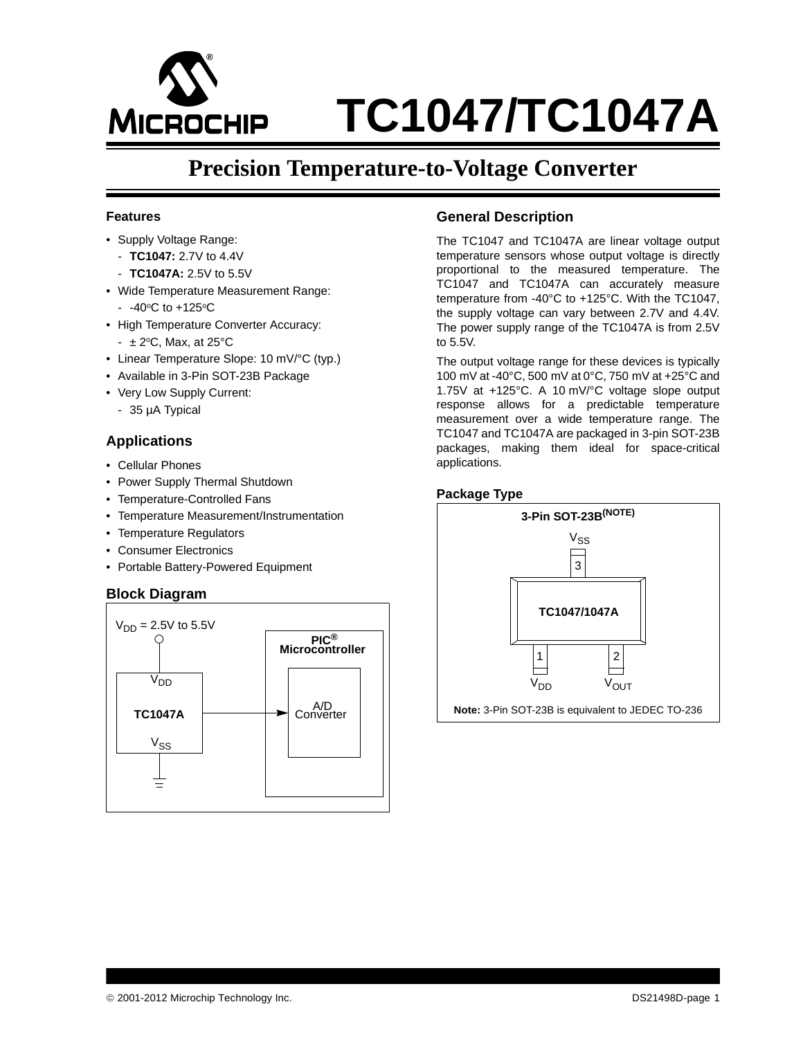

# **Precision Temperature-to-Voltage Converter**

#### **Features**

- Supply Voltage Range:
	- **TC1047:** 2.7V to 4.4V
	- **TC1047A:** 2.5V to 5.5V
- Wide Temperature Measurement Range:
	- $-40^{\circ}$ C to  $+125^{\circ}$ C
- High Temperature Converter Accuracy:
	- $\div$  ± 2 $\degree$ C, Max, at 25 $\degree$ C
- Linear Temperature Slope: 10 mV/°C (typ.)
- Available in 3-Pin SOT-23B Package
- Very Low Supply Current:
	- 35 µA Typical

## **Applications**

- Cellular Phones
- Power Supply Thermal Shutdown
- Temperature-Controlled Fans
- Temperature Measurement/Instrumentation
- Temperature Regulators
- Consumer Electronics
- Portable Battery-Powered Equipment

#### **Block Diagram**



#### **General Description**

The TC1047 and TC1047A are linear voltage output temperature sensors whose output voltage is directly proportional to the measured temperature. The TC1047 and TC1047A can accurately measure temperature from -40°C to +125°C. With the TC1047, the supply voltage can vary between 2.7V and 4.4V. The power supply range of the TC1047A is from 2.5V to 5.5V.

The output voltage range for these devices is typically 100 mV at -40°C, 500 mV at 0°C, 750 mV at +25°C and 1.75V at +125°C. A 10 mV/°C voltage slope output response allows for a predictable temperature measurement over a wide temperature range. The TC1047 and TC1047A are packaged in 3-pin SOT-23B packages, making them ideal for space-critical applications.

#### **Package Type**

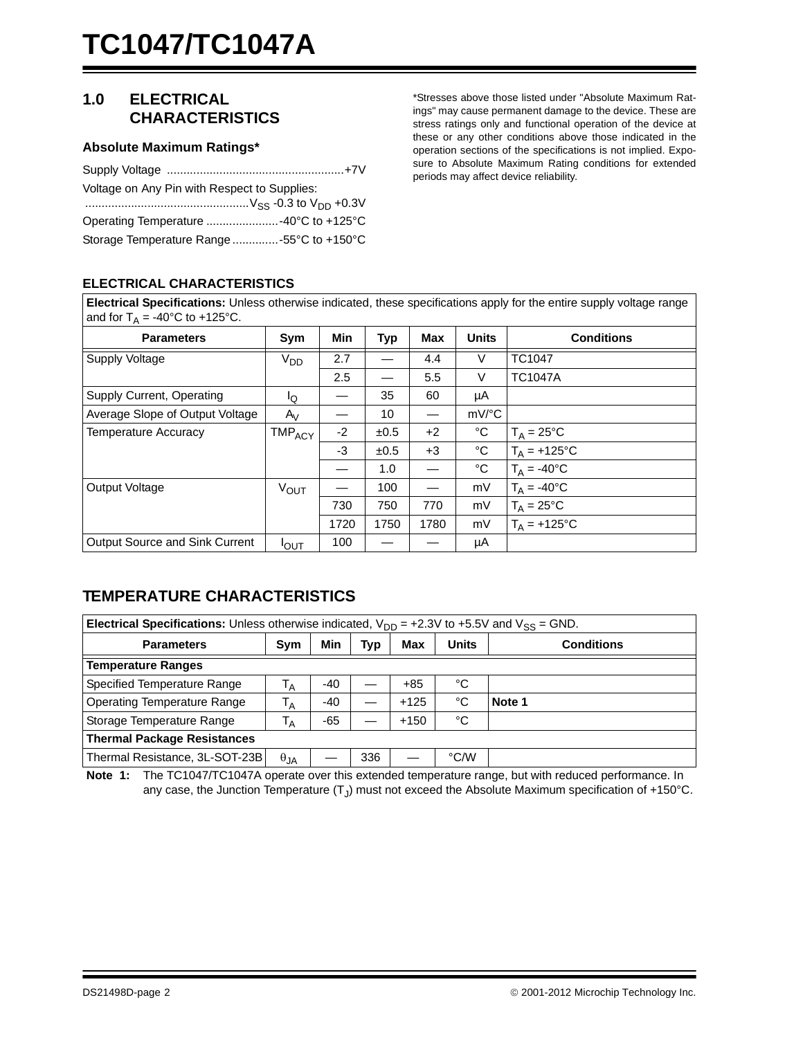# **1.0 ELECTRICAL CHARACTERISTICS**

#### **Absolute Maximum Ratings\***

| Voltage on Any Pin with Respect to Supplies: |
|----------------------------------------------|
|                                              |
| Operating Temperature  -40°C to +125°C       |
| Storage Temperature Range -55°C to +150°C    |

\*Stresses above those listed under "Absolute Maximum Ratings" may cause permanent damage to the device. These are stress ratings only and functional operation of the device at these or any other conditions above those indicated in the operation sections of the specifications is not implied. Exposure to Absolute Maximum Rating conditions for extended periods may affect device reliability.

#### **ELECTRICAL CHARACTERISTICS**

**Electrical Specifications:** Unless otherwise indicated, these specifications apply for the entire supply voltage range and for  $T_A = -40^{\circ}$ C to +125°C.

| <b>Parameters</b>                     | Sym                      | <b>Min</b>               | <b>Typ</b> | <b>Max</b> | <b>Units</b>        | <b>Conditions</b> |
|---------------------------------------|--------------------------|--------------------------|------------|------------|---------------------|-------------------|
| Supply Voltage                        | V <sub>DD</sub>          | 2.7                      |            | 4.4        | V                   | <b>TC1047</b>     |
|                                       |                          | 2.5                      |            | 5.5        | V                   | <b>TC1047A</b>    |
| Supply Current, Operating             | lQ                       | $\overline{\phantom{0}}$ | 35         | 60         | μA                  |                   |
| Average Slope of Output Voltage       | $A_V$                    |                          | 10         |            | $mV$ <sup>o</sup> C |                   |
| <b>Temperature Accuracy</b>           | <b>TMP<sub>ACY</sub></b> | $-2$                     | ±0.5       | $+2$       | °C                  | $T_A = 25$ °C     |
|                                       |                          | -3                       | ±0.5       | $+3$       | °C                  | $T_A = +125$ °C   |
|                                       |                          |                          | 1.0        |            | °C                  | $T_A = -40$ °C    |
| Output Voltage                        | V <sub>OUT</sub>         |                          | 100        |            | mV                  | $T_A = -40$ °C    |
|                                       |                          | 730                      | 750        | 770        | mV                  | $T_A = 25$ °C     |
|                                       |                          | 1720                     | 1750       | 1780       | mV                  | $T_A$ = +125°C    |
| <b>Output Source and Sink Current</b> | $I_{\text{OUT}}$         | 100                      |            |            | μA                  |                   |

# **TEMPERATURE CHARACTERISTICS**

| <b>Electrical Specifications:</b> Unless otherwise indicated, $V_{DD}$ = +2.3V to +5.5V and $V_{SS}$ = GND. |                         |       |            |        |              |                   |  |
|-------------------------------------------------------------------------------------------------------------|-------------------------|-------|------------|--------|--------------|-------------------|--|
| <b>Parameters</b>                                                                                           | Sym                     | Min   | <b>Typ</b> | Max    | <b>Units</b> | <b>Conditions</b> |  |
| <b>Temperature Ranges</b>                                                                                   |                         |       |            |        |              |                   |  |
| Specified Temperature Range                                                                                 | <sup>1</sup> A          | -40   |            | $+85$  | °C           |                   |  |
| Operating Temperature Range                                                                                 | Т <sub>А</sub>          | $-40$ |            | $+125$ | °C           | Note 1            |  |
| Storage Temperature Range                                                                                   | $\mathsf{T}_\mathsf{A}$ | $-65$ |            | $+150$ | °C           |                   |  |
| <b>Thermal Package Resistances</b>                                                                          |                         |       |            |        |              |                   |  |
| Thermal Resistance, 3L-SOT-23B                                                                              | $\theta_{JA}$           |       | 336        |        | °C/W         |                   |  |

<span id="page-1-0"></span>**Note 1:** The TC1047/TC1047A operate over this extended temperature range, but with reduced performance. In any case, the Junction Temperature  $(T_J)$  must not exceed the Absolute Maximum specification of +150°C.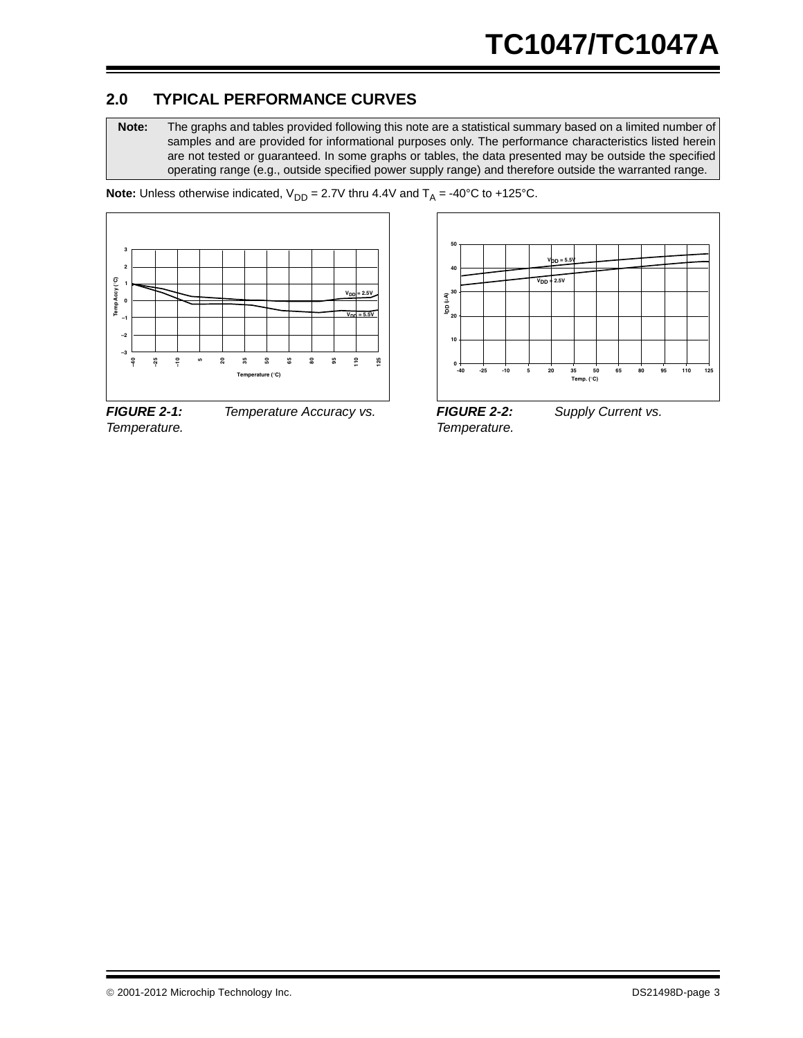# **2.0 TYPICAL PERFORMANCE CURVES**

**Note:** The graphs and tables provided following this note are a statistical summary based on a limited number of samples and are provided for informational purposes only. The performance characteristics listed herein are not tested or guaranteed. In some graphs or tables, the data presented may be outside the specified operating range (e.g., outside specified power supply range) and therefore outside the warranted range.

**Note:** Unless otherwise indicated,  $V_{DD} = 2.7V$  thru 4.4V and  $T_A = -40^{\circ}C$  to  $+125^{\circ}C$ .





*Temperature.*

*FIGURE 2-1: Temperature Accuracy vs.* 

*Temperature.*

*FIGURE 2-2: Supply Current vs.*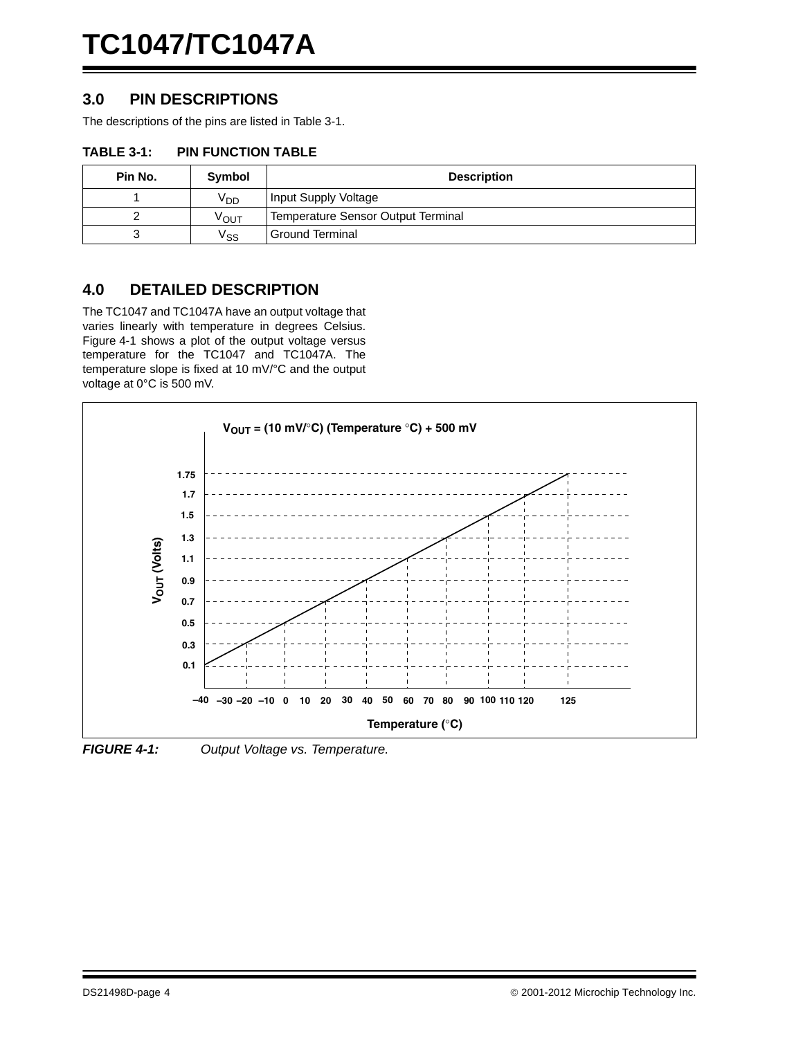## **3.0 PIN DESCRIPTIONS**

The descriptions of the pins are listed in [Table 3-1.](#page-3-0)

#### <span id="page-3-0"></span>**TABLE 3-1: PIN FUNCTION TABLE**

| Pin No. | Symbol          | <b>Description</b>                 |
|---------|-----------------|------------------------------------|
|         | V <sub>DD</sub> | Input Supply Voltage               |
|         | ™ουτ            | Temperature Sensor Output Terminal |
|         | Vss             | <b>Ground Terminal</b>             |

# **4.0 DETAILED DESCRIPTION**

The TC1047 and TC1047A have an output voltage that varies linearly with temperature in degrees Celsius. [Figure 4-1](#page-3-1) shows a plot of the output voltage versus temperature for the TC1047 and TC1047A. The temperature slope is fixed at 10 mV/°C and the output voltage at 0°C is 500 mV.



<span id="page-3-1"></span>*FIGURE 4-1: Output Voltage vs. Temperature.*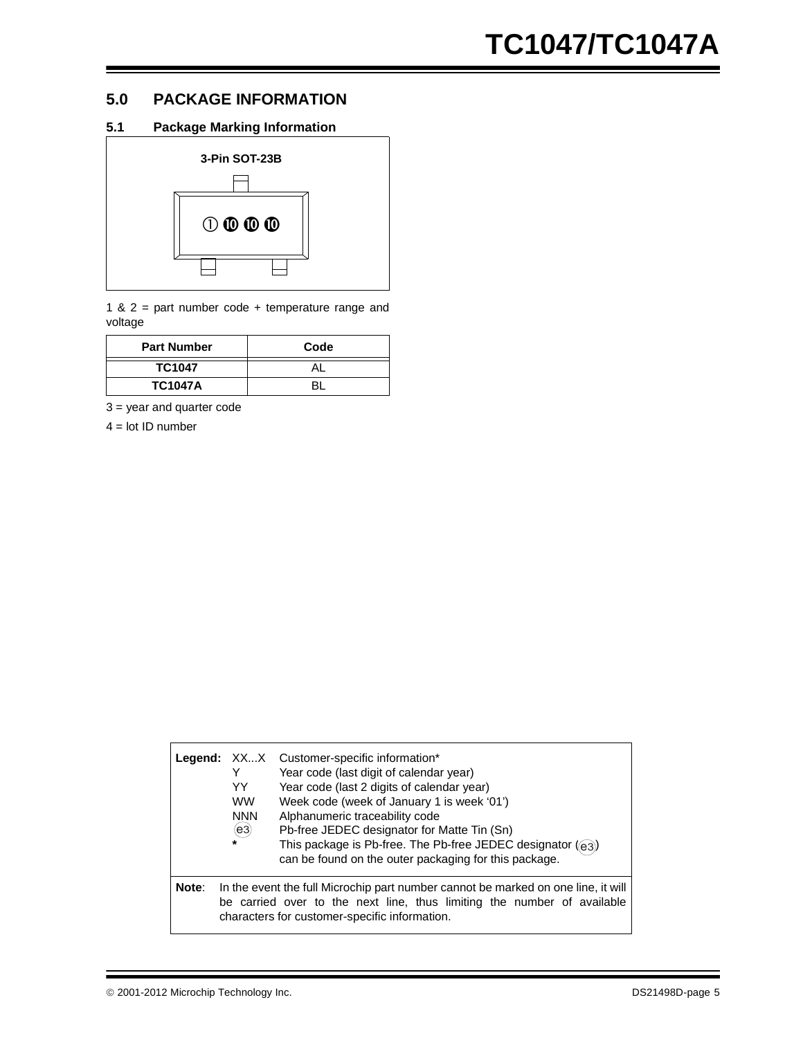#### **5.0 PACKAGE INFORMATION**

### **5.1 Package Marking Information**



1 &  $2$  = part number code + temperature range and voltage

| <b>Part Number</b> | Code |
|--------------------|------|
| <b>TC1047</b>      |      |
| <b>TC1047A</b>     |      |

3 = year and quarter code

 $4 =$  lot ID number

|       | YY<br><b>WW</b><br><b>NNN</b><br>(e3)<br>$\star$                                                                                                                                                              | Legend: XXX Customer-specific information*<br>Year code (last digit of calendar year)<br>Year code (last 2 digits of calendar year)<br>Week code (week of January 1 is week '01')<br>Alphanumeric traceability code<br>Pb-free JEDEC designator for Matte Tin (Sn)<br>This package is Pb-free. The Pb-free JEDEC designator $(q_3)$<br>can be found on the outer packaging for this package. |  |  |  |  |
|-------|---------------------------------------------------------------------------------------------------------------------------------------------------------------------------------------------------------------|----------------------------------------------------------------------------------------------------------------------------------------------------------------------------------------------------------------------------------------------------------------------------------------------------------------------------------------------------------------------------------------------|--|--|--|--|
| Note: | In the event the full Microchip part number cannot be marked on one line, it will<br>be carried over to the next line, thus limiting the number of available<br>characters for customer-specific information. |                                                                                                                                                                                                                                                                                                                                                                                              |  |  |  |  |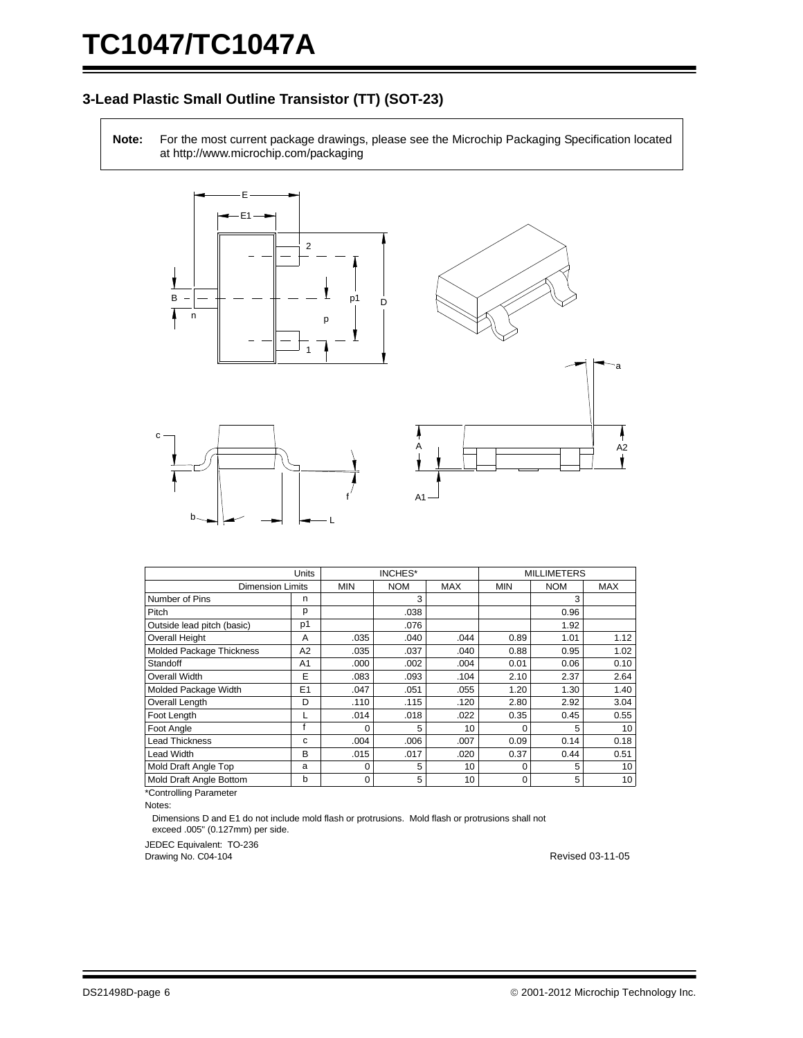## **3-Lead Plastic Small Outline Transistor (TT) (SOT-23)**

**Note:** For the most current package drawings, please see the Microchip Packaging Specification located at http://www.microchip.com/packaging







|                            | Units          | <b>INCHES*</b> |            |            | <b>MILLIMETERS</b> |            |            |
|----------------------------|----------------|----------------|------------|------------|--------------------|------------|------------|
| <b>Dimension Limits</b>    |                | <b>MIN</b>     | <b>NOM</b> | <b>MAX</b> | <b>MIN</b>         | <b>NOM</b> | <b>MAX</b> |
| Number of Pins             | n              |                | 3          |            |                    | 3          |            |
| Pitch                      | р              |                | .038       |            |                    | 0.96       |            |
| Outside lead pitch (basic) | p1             |                | .076       |            |                    | 1.92       |            |
| <b>Overall Height</b>      | A              | .035           | .040       | .044       | 0.89               | 1.01       | 1.12       |
| Molded Package Thickness   | A <sub>2</sub> | .035           | .037       | .040       | 0.88               | 0.95       | 1.02       |
| Standoff                   | A1             | .000           | .002       | .004       | 0.01               | 0.06       | 0.10       |
| Overall Width              | E              | .083           | .093       | .104       | 2.10               | 2.37       | 2.64       |
| Molded Package Width       | E1             | .047           | .051       | .055       | 1.20               | 1.30       | 1.40       |
| Overall Length             | D              | .110           | .115       | .120       | 2.80               | 2.92       | 3.04       |
| Foot Length                | L              | .014           | .018       | .022       | 0.35               | 0.45       | 0.55       |
| Foot Angle                 |                | 0              | 5          | 10         | 0                  | 5          | 10         |
| <b>Lead Thickness</b>      | c              | .004           | .006       | .007       | 0.09               | 0.14       | 0.18       |
| <b>Lead Width</b>          | B              | .015           | .017       | .020       | 0.37               | 0.44       | 0.51       |
| Mold Draft Angle Top       | a              | $\Omega$       | 5          | 10         | $\Omega$           | 5          | 10         |
| Mold Draft Angle Bottom    | b              | 0              | 5          | 10         | 0                  | 5          | 10         |
|                            |                |                |            |            |                    |            |            |

\*Controlling Parameter

Notes:

exceed .005" (0.127mm) per side. Dimensions D and E1 do not include mold flash or protrusions. Mold flash or protrusions shall not

JEDEC Equivalent: TO-236

Drawing No. C04-104 Revised 03-11-05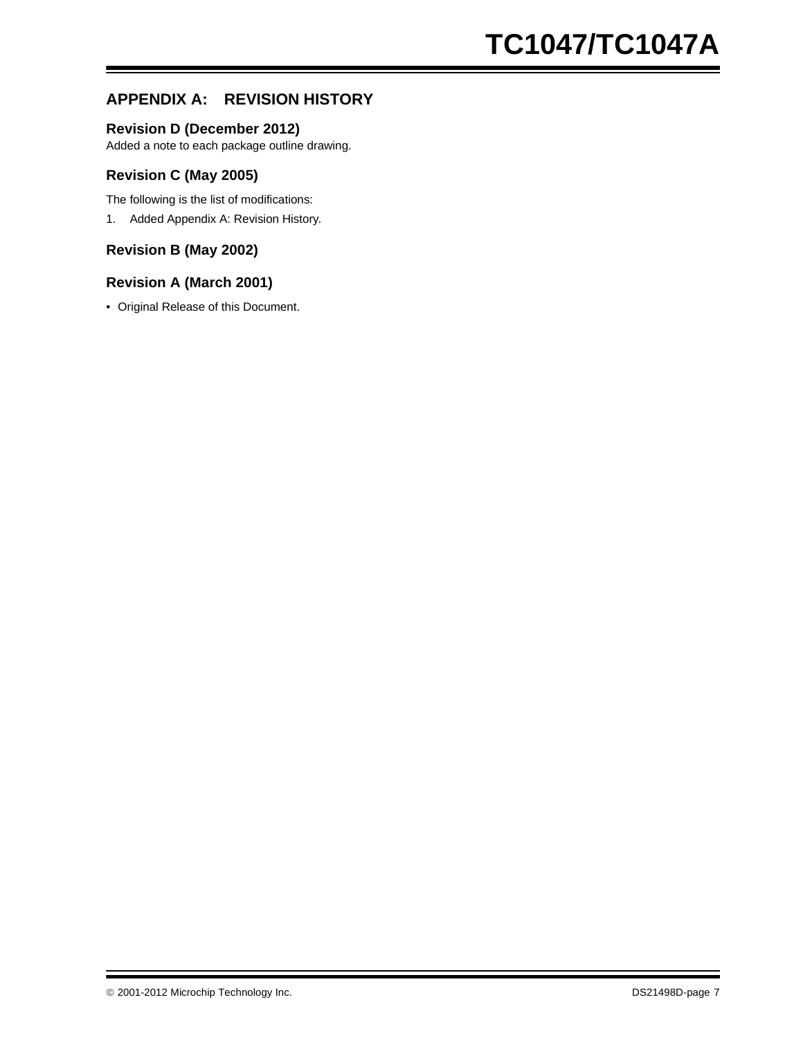# **APPENDIX A: REVISION HISTORY**

#### **Revision D (December 2012)**

Added a note to each package outline drawing.

#### **Revision C (May 2005)**

The following is the list of modifications:

1. Added Appendix A: Revision History.

#### **Revision B (May 2002)**

#### **Revision A (March 2001)**

• Original Release of this Document.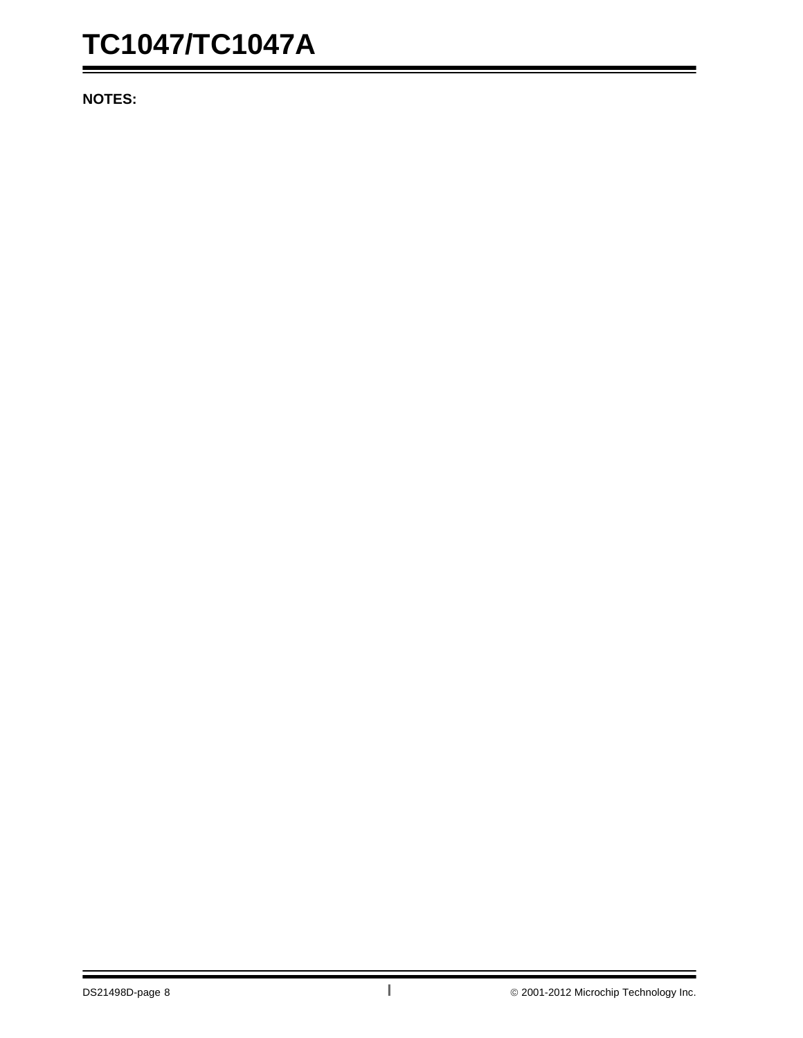# **TC1047/TC1047A**

**NOTES:**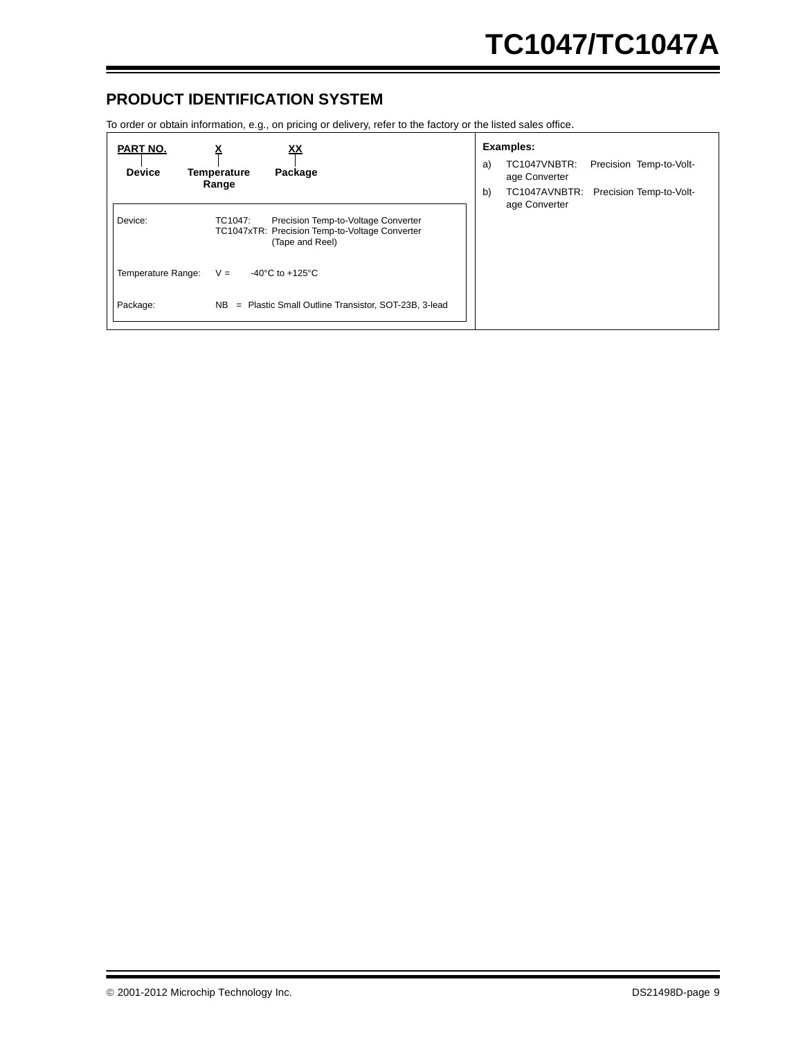# **PRODUCT IDENTIFICATION SYSTEM**

To order or obtain information, e.g., on pricing or delivery, refer to the factory or the listed sales office.

| <b>PART NO.</b>    | <u>XX</u><br>Δ                                                                                                      |    | Examples:                                                |
|--------------------|---------------------------------------------------------------------------------------------------------------------|----|----------------------------------------------------------|
| <b>Device</b>      | <b>Temperature</b><br>Package                                                                                       | a) | Precision Temp-to-Volt-<br>TC1047VNBTR:<br>age Converter |
|                    | Range                                                                                                               | b) | TC1047AVNBTR: Precision Temp-to-Volt-<br>age Converter   |
| Device:            | Precision Temp-to-Voltage Converter<br>TC1047:<br>TC1047xTR: Precision Temp-to-Voltage Converter<br>(Tape and Reel) |    |                                                          |
| Temperature Range: | -40 $^{\circ}$ C to +125 $^{\circ}$ C<br>$V =$                                                                      |    |                                                          |
| Package:           | NB = Plastic Small Outline Transistor, SOT-23B, 3-lead                                                              |    |                                                          |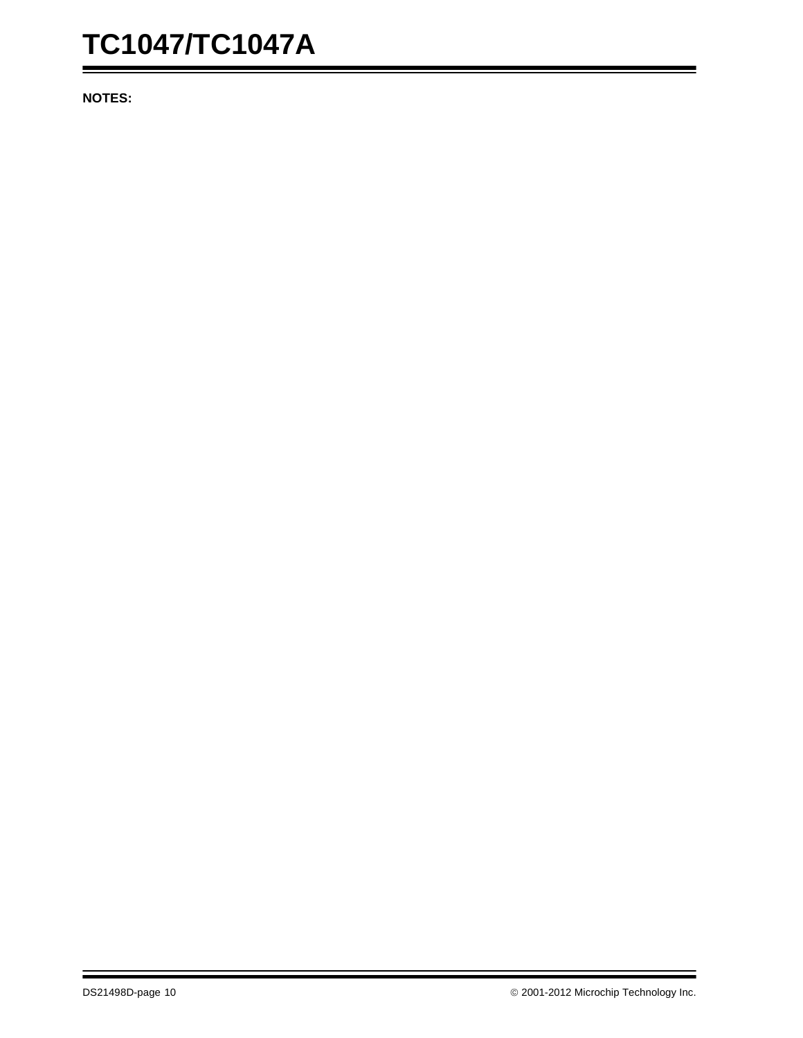# **TC1047/TC1047A**

**NOTES:**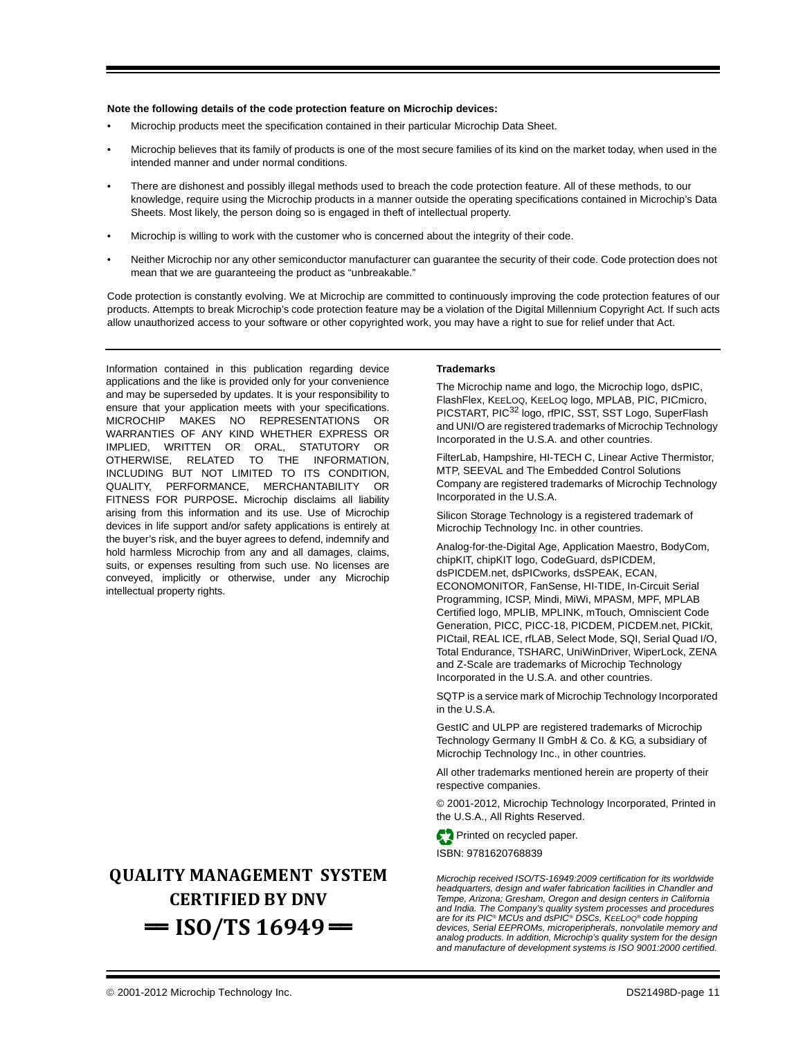#### **Note the following details of the code protection feature on Microchip devices:**

- Microchip products meet the specification contained in their particular Microchip Data Sheet.
- Microchip believes that its family of products is one of the most secure families of its kind on the market today, when used in the intended manner and under normal conditions.
- There are dishonest and possibly illegal methods used to breach the code protection feature. All of these methods, to our knowledge, require using the Microchip products in a manner outside the operating specifications contained in Microchip's Data Sheets. Most likely, the person doing so is engaged in theft of intellectual property.
- Microchip is willing to work with the customer who is concerned about the integrity of their code.
- Neither Microchip nor any other semiconductor manufacturer can guarantee the security of their code. Code protection does not mean that we are guaranteeing the product as "unbreakable."

Code protection is constantly evolving. We at Microchip are committed to continuously improving the code protection features of our products. Attempts to break Microchip's code protection feature may be a violation of the Digital Millennium Copyright Act. If such acts allow unauthorized access to your software or other copyrighted work, you may have a right to sue for relief under that Act.

Information contained in this publication regarding device applications and the like is provided only for your convenience and may be superseded by updates. It is your responsibility to ensure that your application meets with your specifications. MICROCHIP MAKES NO REPRESENTATIONS OR WARRANTIES OF ANY KIND WHETHER EXPRESS OR IMPLIED, WRITTEN OR ORAL, STATUTORY OR OTHERWISE, RELATED TO THE INFORMATION, INCLUDING BUT NOT LIMITED TO ITS CONDITION, QUALITY, PERFORMANCE, MERCHANTABILITY OR FITNESS FOR PURPOSE**.** Microchip disclaims all liability arising from this information and its use. Use of Microchip devices in life support and/or safety applications is entirely at the buyer's risk, and the buyer agrees to defend, indemnify and hold harmless Microchip from any and all damages, claims, suits, or expenses resulting from such use. No licenses are conveyed, implicitly or otherwise, under any Microchip intellectual property rights.

# **QUALITY MANAGEMENT SYSTEM CERTIFIED BY DNV**   $=$  **ISO/TS 16949** $=$

#### **Trademarks**

The Microchip name and logo, the Microchip logo, dsPIC, FlashFlex, KEELOQ, KEELOQ logo, MPLAB, PIC, PICmicro, PICSTART, PIC<sup>32</sup> logo, rfPIC, SST, SST Logo, SuperFlash and UNI/O are registered trademarks of Microchip Technology Incorporated in the U.S.A. and other countries.

FilterLab, Hampshire, HI-TECH C, Linear Active Thermistor, MTP, SEEVAL and The Embedded Control Solutions Company are registered trademarks of Microchip Technology Incorporated in the U.S.A.

Silicon Storage Technology is a registered trademark of Microchip Technology Inc. in other countries.

Analog-for-the-Digital Age, Application Maestro, BodyCom, chipKIT, chipKIT logo, CodeGuard, dsPICDEM, dsPICDEM.net, dsPICworks, dsSPEAK, ECAN, ECONOMONITOR, FanSense, HI-TIDE, In-Circuit Serial Programming, ICSP, Mindi, MiWi, MPASM, MPF, MPLAB Certified logo, MPLIB, MPLINK, mTouch, Omniscient Code Generation, PICC, PICC-18, PICDEM, PICDEM.net, PICkit, PICtail, REAL ICE, rfLAB, Select Mode, SQI, Serial Quad I/O, Total Endurance, TSHARC, UniWinDriver, WiperLock, ZENA and Z-Scale are trademarks of Microchip Technology Incorporated in the U.S.A. and other countries.

SQTP is a service mark of Microchip Technology Incorporated in the U.S.A.

GestIC and ULPP are registered trademarks of Microchip Technology Germany II GmbH & Co. & KG, a subsidiary of Microchip Technology Inc., in other countries.

All other trademarks mentioned herein are property of their respective companies.

© 2001-2012, Microchip Technology Incorporated, Printed in the U.S.A., All Rights Reserved.

Printed on recycled paper.

ISBN: 9781620768839

*Microchip received ISO/TS-16949:2009 certification for its worldwide headquarters, design and wafer fabrication facilities in Chandler and Tempe, Arizona; Gresham, Oregon and design centers in California and India. The Company's quality system processes and procedures are for its PIC® MCUs and dsPIC® DSCs, KEELOQ® code hopping devices, Serial EEPROMs, microperipherals, nonvolatile memory and analog products. In addition, Microchip's quality system for the design and manufacture of development systems is ISO 9001:2000 certified.*